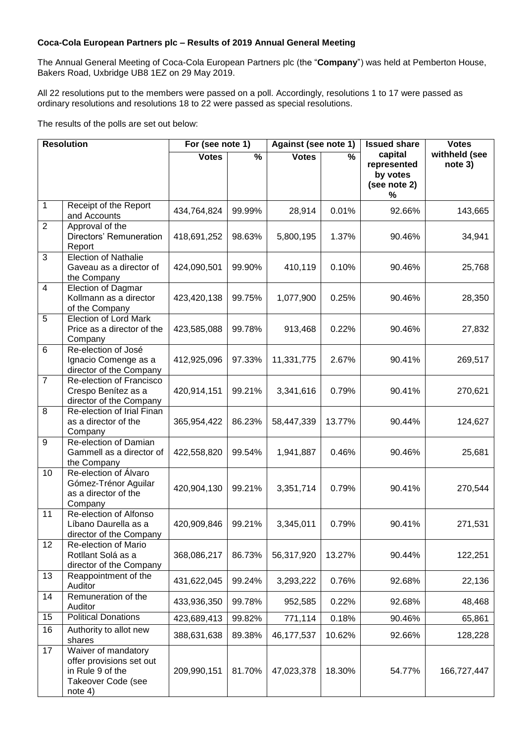## **Coca-Cola European Partners plc – Results of 2019 Annual General Meeting**

The Annual General Meeting of Coca-Cola European Partners plc (the "**Company**") was held at Pemberton House, Bakers Road, Uxbridge UB8 1EZ on 29 May 2019.

All 22 resolutions put to the members were passed on a poll. Accordingly, resolutions 1 to 17 were passed as ordinary resolutions and resolutions 18 to 22 were passed as special resolutions.

The results of the polls are set out below:

| <b>Resolution</b> |                                                                                                      | For (see note 1) |                          | Against (see note 1) |                          | <b>Issued share</b>                                     | <b>Votes</b>             |
|-------------------|------------------------------------------------------------------------------------------------------|------------------|--------------------------|----------------------|--------------------------|---------------------------------------------------------|--------------------------|
|                   |                                                                                                      | <b>Votes</b>     | $\overline{\frac{9}{6}}$ | <b>Votes</b>         | $\overline{\frac{9}{6}}$ | capital<br>represented<br>by votes<br>(see note 2)<br>% | withheld (see<br>note 3) |
| 1                 | Receipt of the Report<br>and Accounts                                                                | 434,764,824      | 99.99%                   | 28,914               | 0.01%                    | 92.66%                                                  | 143,665                  |
| $\overline{2}$    | Approval of the<br>Directors' Remuneration<br>Report                                                 | 418,691,252      | 98.63%                   | 5,800,195            | 1.37%                    | 90.46%                                                  | 34,941                   |
| 3                 | <b>Election of Nathalie</b><br>Gaveau as a director of<br>the Company                                | 424,090,501      | 99.90%                   | 410,119              | 0.10%                    | 90.46%                                                  | 25,768                   |
| $\overline{4}$    | Election of Dagmar<br>Kollmann as a director<br>of the Company                                       | 423,420,138      | 99.75%                   | 1,077,900            | 0.25%                    | 90.46%                                                  | 28,350                   |
| 5                 | <b>Election of Lord Mark</b><br>Price as a director of the<br>Company                                | 423,585,088      | 99.78%                   | 913,468              | 0.22%                    | 90.46%                                                  | 27,832                   |
| 6                 | Re-election of José<br>Ignacio Comenge as a<br>director of the Company                               | 412,925,096      | 97.33%                   | 11,331,775           | 2.67%                    | 90.41%                                                  | 269,517                  |
| $\overline{7}$    | Re-election of Francisco<br>Crespo Benítez as a<br>director of the Company                           | 420,914,151      | 99.21%                   | 3,341,616            | 0.79%                    | 90.41%                                                  | 270,621                  |
| 8                 | Re-election of Irial Finan<br>as a director of the<br>Company                                        | 365,954,422      | 86.23%                   | 58,447,339           | 13.77%                   | 90.44%                                                  | 124,627                  |
| 9                 | Re-election of Damian<br>Gammell as a director of<br>the Company                                     | 422,558,820      | 99.54%                   | 1,941,887            | 0.46%                    | 90.46%                                                  | 25,681                   |
| 10                | Re-election of Álvaro<br>Gómez-Trénor Aguilar<br>as a director of the<br>Company                     | 420,904,130      | 99.21%                   | 3,351,714            | 0.79%                    | 90.41%                                                  | 270,544                  |
| 11                | Re-election of Alfonso<br>Líbano Daurella as a<br>director of the Company                            | 420,909,846      | 99.21%                   | 3,345,011            | 0.79%                    | 90.41%                                                  | 271,531                  |
| 12                | Re-election of Mario<br>Rotllant Solá as a<br>director of the Company                                | 368,086,217      | 86.73%                   | 56,317,920           | 13.27%                   | 90.44%                                                  | 122,251                  |
| 13                | Reappointment of the<br>Auditor                                                                      | 431,622,045      | 99.24%                   | 3,293,222            | 0.76%                    | 92.68%                                                  | 22,136                   |
| 14                | Remuneration of the<br>Auditor                                                                       | 433,936,350      | 99.78%                   | 952,585              | 0.22%                    | 92.68%                                                  | 48,468                   |
| 15                | <b>Political Donations</b>                                                                           | 423,689,413      | 99.82%                   | 771,114              | 0.18%                    | 90.46%                                                  | 65,861                   |
| 16                | Authority to allot new<br>shares                                                                     | 388,631,638      | 89.38%                   | 46,177,537           | 10.62%                   | 92.66%                                                  | 128,228                  |
| 17                | Waiver of mandatory<br>offer provisions set out<br>in Rule 9 of the<br>Takeover Code (see<br>note 4) | 209,990,151      | 81.70%                   | 47,023,378           | 18.30%                   | 54.77%                                                  | 166,727,447              |